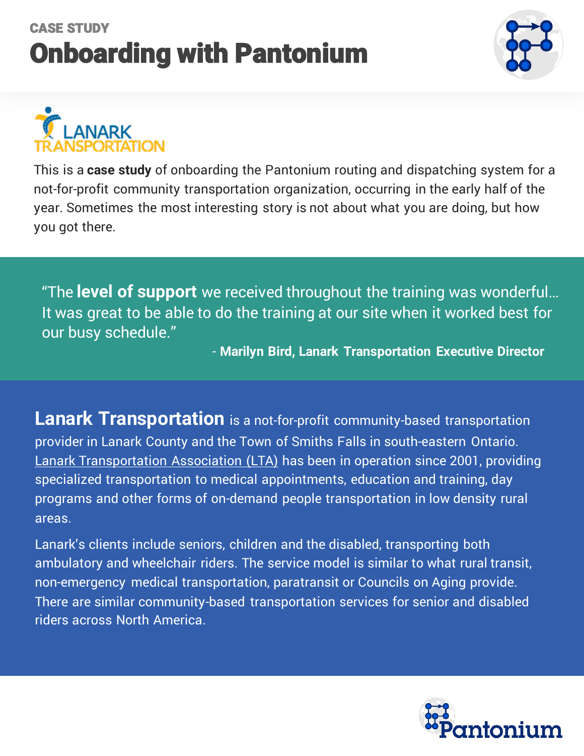## CASE STUDY Onboarding with Pantonium



# **NARK**

This is a **case study** of onboarding the Pantonium routing and dispatching system for a not-for-profit community transportation organization, occurring in the early half of the year. Sometimes the most interesting story is not about what you are doing, but how you got there.

"The **level of support** we received throughout the training was wonderful… It was great to be able to do the training at our site when it worked best for our busy schedule."

- **Marilyn Bird, Lanark Transportation Executive Director**

**Lanark Transportation** is a not-for-profit community-based transportation provider in Lanark County and the Town of Smiths Falls in south-eastern Ontario. [Lanark Transportation Association](https://lanarktransportation.com/) (LTA) has been in operation since 2001, providing specialized transportation to medical appointments, education and training, day programs and other forms of on-demand people transportation in low density rural areas.

Lanark's clients include seniors, children and the disabled, transporting both ambulatory and wheelchair riders. The service model is similar to what rural transit, non-emergency medical transportation, paratransit or Councils on Aging provide. There are similar community-based transportation services for senior and disabled riders across North America.

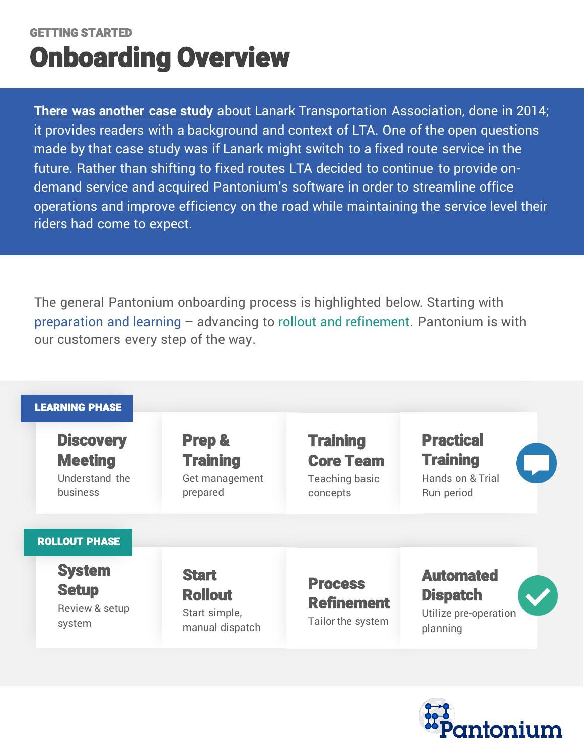### GETTING STARTED Onboarding Overview

riders had come to expect. **[There was another case study](http://www.ohcc-ccso.ca/en/webfm_send/633)** about Lanark Transportation Association, done in 2014; it provides readers with a background and context of LTA. One of the open questions made by that case study was if Lanark might switch to a fixed route service in the future. Rather than shifting to fixed routes LTA decided to continue to provide ondemand service and acquired Pantonium's software in order to streamline office operations and improve efficiency on the road while maintaining the service level their

The general Pantonium onboarding process is highlighted below. Starting with preparation and learning – advancing to rollout and refinement. Pantonium is with our customers every step of the way.



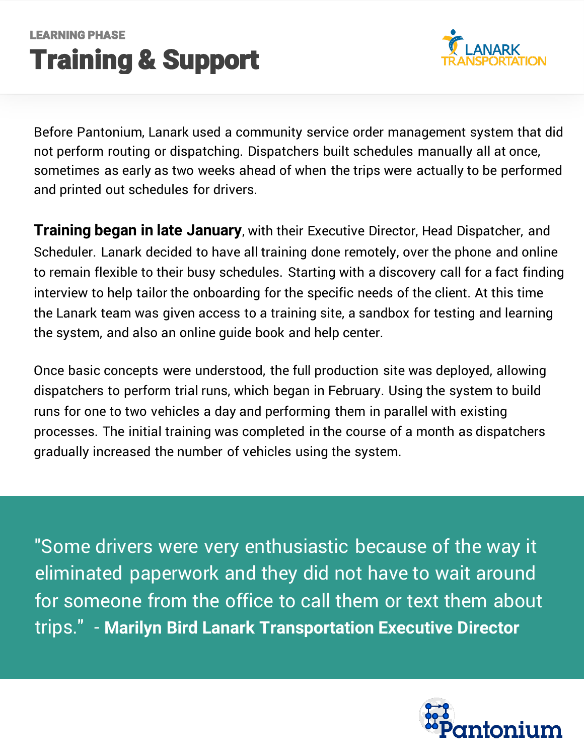## LEARNING PHASE Training & Support



Before Pantonium, Lanark used a community service order management system that did not perform routing or dispatching. Dispatchers built schedules manually all at once, sometimes as early as two weeks ahead of when the trips were actually to be performed and printed out schedules for drivers.

**Training began in late January**, with their Executive Director, Head Dispatcher, and Scheduler. Lanark decided to have all training done remotely, over the phone and online to remain flexible to their busy schedules. Starting with a discovery call for a fact finding interview to help tailor the onboarding for the specific needs of the client. At this time the Lanark team was given access to a training site, a sandbox for testing and learning the system, and also an online guide book and help center.

Once basic concepts were understood, the full production site was deployed, allowing dispatchers to perform trial runs, which began in February. Using the system to build runs for one to two vehicles a day and performing them in parallel with existing processes. The initial training was completed in the course of a month as dispatchers gradually increased the number of vehicles using the system.

"Some drivers were very enthusiastic because of the way it eliminated paperwork and they did not have to wait around for someone from the office to call them or text them about trips." - **Marilyn Bird Lanark Transportation Executive Director**

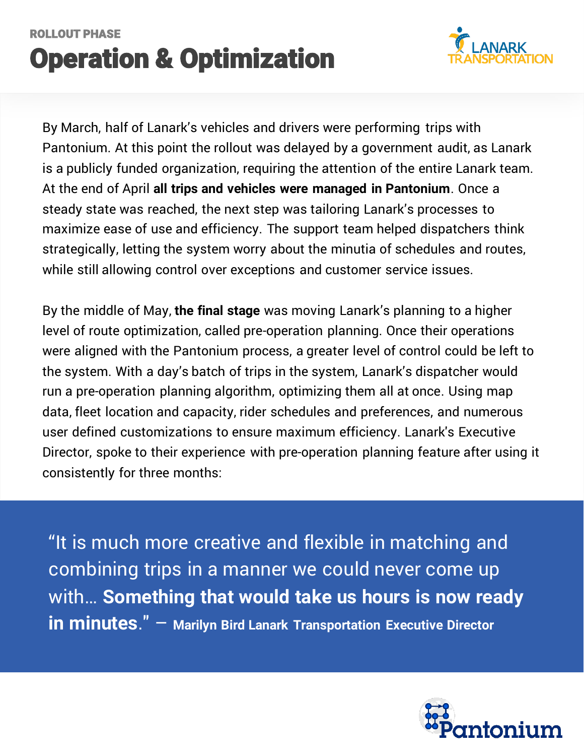## ROLLOUT PHASE Operation & Optimization



By March, half of Lanark's vehicles and drivers were performing trips with Pantonium. At this point the rollout was delayed by a government audit, as Lanark is a publicly funded organization, requiring the attention of the entire Lanark team. At the end of April **all trips and vehicles were managed in Pantonium**. Once a steady state was reached, the next step was tailoring Lanark's processes to maximize ease of use and efficiency. The support team helped dispatchers think strategically, letting the system worry about the minutia of schedules and routes, while still allowing control over exceptions and customer service issues.

By the middle of May, **the final stage** was moving Lanark's planning to a higher level of route optimization, called pre-operation planning. Once their operations were aligned with the Pantonium process, a greater level of control could be left to the system. With a day's batch of trips in the system, Lanark's dispatcher would run a pre-operation planning algorithm, optimizing them all at once. Using map data, fleet location and capacity, rider schedules and preferences, and numerous user defined customizations to ensure maximum efficiency. Lanark's Executive Director, spoke to their experience with pre-operation planning feature after using it consistently for three months:

"It is much more creative and flexible in matching and combining trips in a manner we could never come up with… **Something that would take us hours is now ready in minutes**." – **Marilyn Bird Lanark Transportation Executive Director**